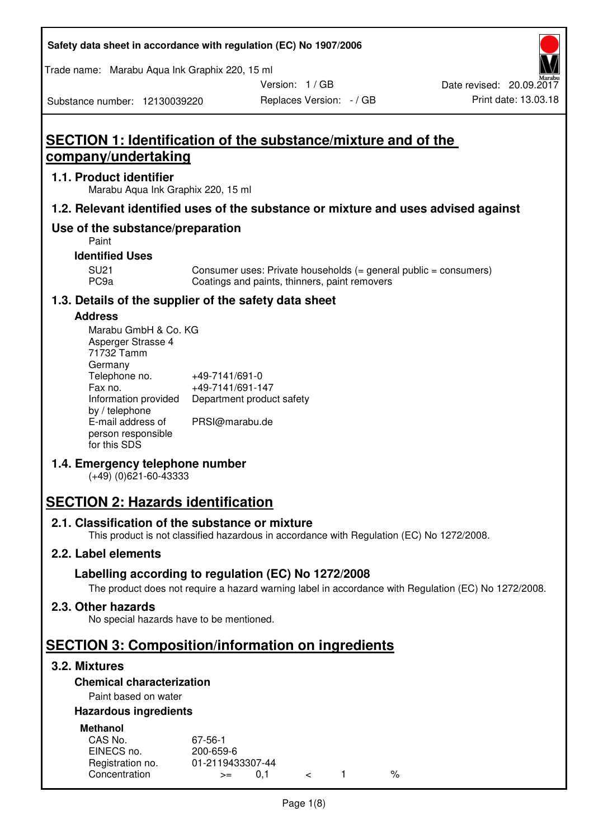#### **Safety data sheet in accordance with regulation (EC) No 1907/2006**

Trade name: Marabu Aqua Ink Graphix 220, 15 ml

Version: 1 / GB

Replaces Version: - / GB Print date: 13.03.18 Date revised: 20.09.2017

Substance number: 12130039220

## **SECTION 1: Identification of the substance/mixture and of the company/undertaking**

#### **1.1. Product identifier**

Marabu Aqua Ink Graphix 220, 15 ml

#### **1.2. Relevant identified uses of the substance or mixture and uses advised against**

#### **Use of the substance/preparation**

Paint

#### **Identified Uses**

SU21 Consumer uses: Private households (= general public = consumers)<br>PC9a Coatings and paints, thinners, paint removers Coatings and paints, thinners, paint removers

#### **1.3. Details of the supplier of the safety data sheet**

#### **Address**

| Marabu GmbH & Co. KG |                           |
|----------------------|---------------------------|
| Asperger Strasse 4   |                           |
| 71732 Tamm           |                           |
| Germany              |                           |
| Telephone no.        | +49-7141/691-0            |
| Fax no.              | +49-7141/691-147          |
| Information provided | Department product safety |
| by / telephone       |                           |
| E-mail address of    | PRSI@marabu.de            |
| person responsible   |                           |
| for this SDS         |                           |

#### **1.4. Emergency telephone number**

(+49) (0)621-60-43333

## **SECTION 2: Hazards identification**

#### **2.1. Classification of the substance or mixture**

This product is not classified hazardous in accordance with Regulation (EC) No 1272/2008.

#### **2.2. Label elements**

#### **Labelling according to regulation (EC) No 1272/2008**

The product does not require a hazard warning label in accordance with Regulation (EC) No 1272/2008.

#### **2.3. Other hazards**

No special hazards have to be mentioned.

### **SECTION 3: Composition/information on ingredients**

#### **3.2. Mixtures**

#### **Chemical characterization**

#### Paint based on water

#### **Hazardous ingredients**

| <b>Methanol</b>  |                  |  |   |
|------------------|------------------|--|---|
| CAS No.          | 67-56-1          |  |   |
| EINECS no.       | 200-659-6        |  |   |
| Registration no. | 01-2119433307-44 |  |   |
| Concentration    | $>=$             |  | % |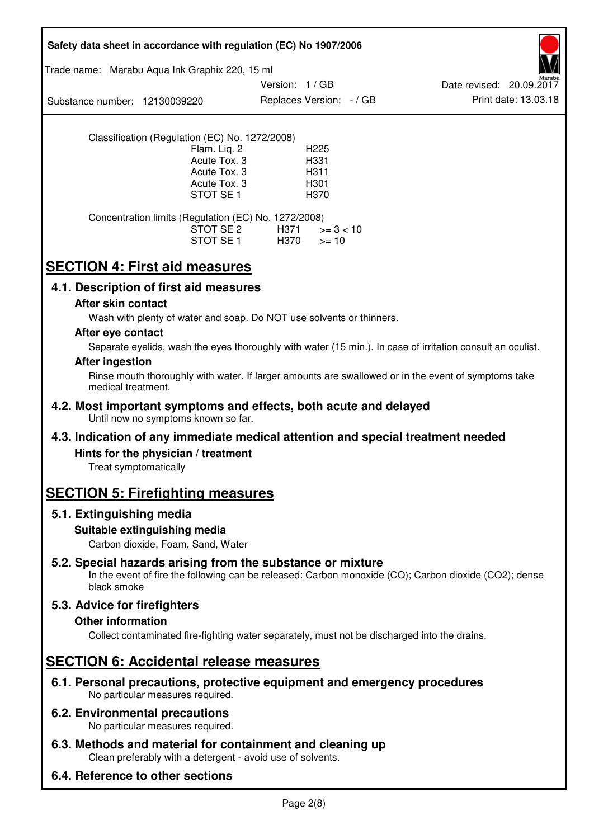| Safety data sheet in accordance with regulation (EC) No 1907/2006                                                                                                                  |
|------------------------------------------------------------------------------------------------------------------------------------------------------------------------------------|
| Trade name: Marabu Aqua Ink Graphix 220, 15 ml                                                                                                                                     |
| Version: 1/GB<br>Date revised: 20.09.2017<br>Print date: 13.03.18<br>Replaces Version: - / GB<br>Substance number: 12130039220                                                     |
| Classification (Regulation (EC) No. 1272/2008)<br>Flam. Liq. 2<br>H <sub>225</sub><br>Acute Tox. 3<br>H331<br>Acute Tox. 3<br>H311<br>Acute Tox. 3<br>H301<br>STOT SE 1<br>H370    |
| Concentration limits (Regulation (EC) No. 1272/2008)<br>STOT SE 2<br>H371<br>$>= 3 < 10$<br>STOT SE 1<br>H370<br>$>= 10$                                                           |
| <b>SECTION 4: First aid measures</b>                                                                                                                                               |
| 4.1. Description of first aid measures                                                                                                                                             |
| After skin contact<br>Wash with plenty of water and soap. Do NOT use solvents or thinners.                                                                                         |
| After eye contact                                                                                                                                                                  |
| Separate eyelids, wash the eyes thoroughly with water (15 min.). In case of irritation consult an oculist.<br><b>After ingestion</b>                                               |
| Rinse mouth thoroughly with water. If larger amounts are swallowed or in the event of symptoms take<br>medical treatment.                                                          |
| 4.2. Most important symptoms and effects, both acute and delayed<br>Until now no symptoms known so far.                                                                            |
| 4.3. Indication of any immediate medical attention and special treatment needed                                                                                                    |
| Hints for the physician / treatment<br>Treat symptomatically                                                                                                                       |
| <b>SECTION 5: Firefighting measures</b>                                                                                                                                            |
| 5.1. Extinguishing media                                                                                                                                                           |
| Suitable extinguishing media<br>Carbon dioxide, Foam, Sand, Water                                                                                                                  |
| 5.2. Special hazards arising from the substance or mixture<br>In the event of fire the following can be released: Carbon monoxide (CO); Carbon dioxide (CO2); dense<br>black smoke |
| 5.3. Advice for firefighters                                                                                                                                                       |
| <b>Other information</b><br>Collect contaminated fire-fighting water separately, must not be discharged into the drains.                                                           |
| <b>SECTION 6: Accidental release measures</b>                                                                                                                                      |
| 6.1. Personal precautions, protective equipment and emergency procedures<br>No particular measures required.                                                                       |
| 6.2. Environmental precautions<br>No particular measures required.                                                                                                                 |
| 6.3. Methods and material for containment and cleaning up<br>Clean preferably with a detergent - avoid use of solvents.                                                            |
| 6.4. Reference to other sections                                                                                                                                                   |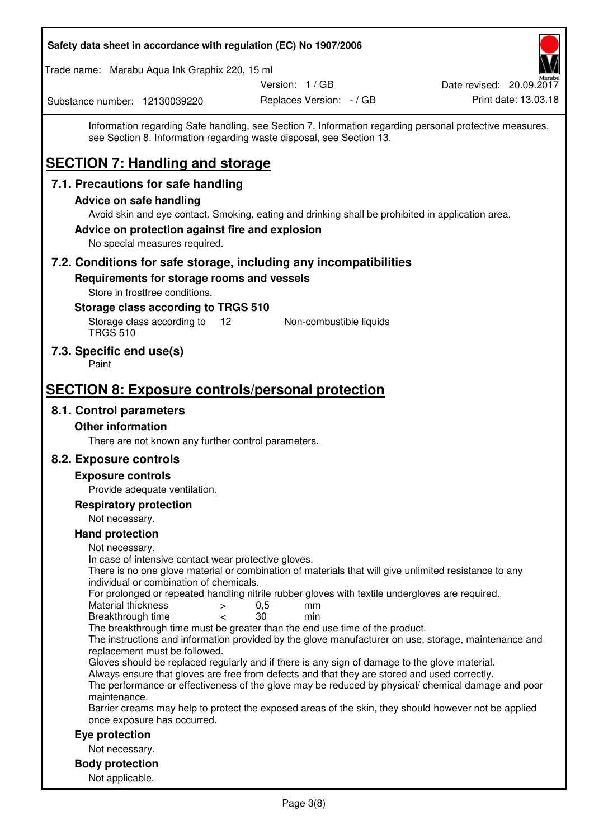| Safety data sheet in accordance with regulation (EC) No 1907/2006                                                                                                                                                                                                                                                   |                          |                          |
|---------------------------------------------------------------------------------------------------------------------------------------------------------------------------------------------------------------------------------------------------------------------------------------------------------------------|--------------------------|--------------------------|
| Trade name: Marabu Aqua Ink Graphix 220, 15 ml                                                                                                                                                                                                                                                                      |                          |                          |
|                                                                                                                                                                                                                                                                                                                     | Version: 1 / GB          | Date revised: 20.09.2017 |
| Substance number: 12130039220                                                                                                                                                                                                                                                                                       | Replaces Version: - / GB | Print date: 13.03.18     |
| Information regarding Safe handling, see Section 7. Information regarding personal protective measures,<br>see Section 8. Information regarding waste disposal, see Section 13.<br><b>SECTION 7: Handling and storage</b>                                                                                           |                          |                          |
| 7.1. Precautions for safe handling                                                                                                                                                                                                                                                                                  |                          |                          |
| <b>Advice on safe handling</b>                                                                                                                                                                                                                                                                                      |                          |                          |
| Avoid skin and eye contact. Smoking, eating and drinking shall be prohibited in application area.<br>Advice on protection against fire and explosion<br>No special measures required.                                                                                                                               |                          |                          |
| 7.2. Conditions for safe storage, including any incompatibilities                                                                                                                                                                                                                                                   |                          |                          |
| Requirements for storage rooms and vessels<br>Store in frostfree conditions.                                                                                                                                                                                                                                        |                          |                          |
| Storage class according to TRGS 510<br>Storage class according to<br>$12 \overline{ }$<br><b>TRGS 510</b>                                                                                                                                                                                                           | Non-combustible liquids  |                          |
| 7.3. Specific end use(s)<br>Paint                                                                                                                                                                                                                                                                                   |                          |                          |
| <b>SECTION 8: Exposure controls/personal protection</b>                                                                                                                                                                                                                                                             |                          |                          |
| 8.1. Control parameters                                                                                                                                                                                                                                                                                             |                          |                          |
| <b>Other information</b>                                                                                                                                                                                                                                                                                            |                          |                          |
| There are not known any further control parameters.                                                                                                                                                                                                                                                                 |                          |                          |
| 8.2. Exposure controls                                                                                                                                                                                                                                                                                              |                          |                          |
| <b>Exposure controls</b>                                                                                                                                                                                                                                                                                            |                          |                          |
| Provide adequate ventilation.                                                                                                                                                                                                                                                                                       |                          |                          |
| <b>Respiratory protection</b>                                                                                                                                                                                                                                                                                       |                          |                          |
| Not necessary.                                                                                                                                                                                                                                                                                                      |                          |                          |
| <b>Hand protection</b>                                                                                                                                                                                                                                                                                              |                          |                          |
| Not necessary.<br>In case of intensive contact wear protective gloves.<br>There is no one glove material or combination of materials that will give unlimited resistance to any<br>individual or combination of chemicals.                                                                                          |                          |                          |
| For prolonged or repeated handling nitrile rubber gloves with textile undergloves are required.<br>Material thickness<br>$\geq$<br>Breakthrough time<br>$\overline{\phantom{a}}$                                                                                                                                    | 0,5<br>mm<br>30<br>min   |                          |
| The breakthrough time must be greater than the end use time of the product.<br>The instructions and information provided by the glove manufacturer on use, storage, maintenance and<br>replacement must be followed.                                                                                                |                          |                          |
| Gloves should be replaced regularly and if there is any sign of damage to the glove material.<br>Always ensure that gloves are free from defects and that they are stored and used correctly.<br>The performance or effectiveness of the glove may be reduced by physical/ chemical damage and poor<br>maintenance. |                          |                          |
| Barrier creams may help to protect the exposed areas of the skin, they should however not be applied<br>once exposure has occurred.                                                                                                                                                                                 |                          |                          |
| Eye protection                                                                                                                                                                                                                                                                                                      |                          |                          |
| Not necessary.                                                                                                                                                                                                                                                                                                      |                          |                          |
| <b>Body protection</b><br>Not applicable.                                                                                                                                                                                                                                                                           |                          |                          |
|                                                                                                                                                                                                                                                                                                                     |                          |                          |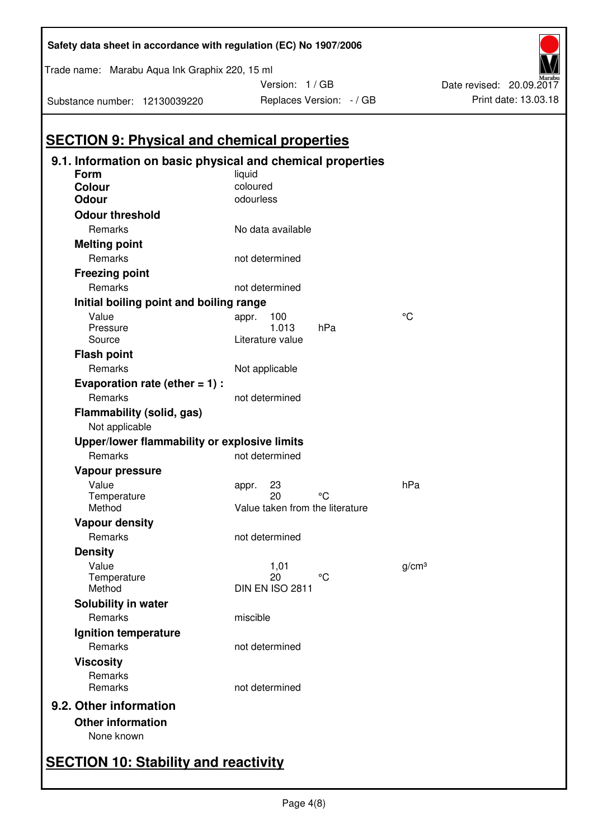| <b>SECTION 9: Physical and chemical properties</b>                 |                                 |                   |
|--------------------------------------------------------------------|---------------------------------|-------------------|
| 9.1. Information on basic physical and chemical properties<br>Form | liquid                          |                   |
| <b>Colour</b>                                                      | coloured                        |                   |
| <b>Odour</b>                                                       | odourless                       |                   |
| <b>Odour threshold</b>                                             |                                 |                   |
| Remarks                                                            | No data available               |                   |
|                                                                    |                                 |                   |
| <b>Melting point</b><br>Remarks                                    | not determined                  |                   |
|                                                                    |                                 |                   |
| <b>Freezing point</b>                                              |                                 |                   |
| Remarks                                                            | not determined                  |                   |
| Initial boiling point and boiling range                            |                                 |                   |
| Value<br>Pressure                                                  | 100<br>appr.<br>1.013<br>hPa    | °C                |
| Source                                                             | Literature value                |                   |
| <b>Flash point</b>                                                 |                                 |                   |
| Remarks                                                            | Not applicable                  |                   |
|                                                                    |                                 |                   |
| Evaporation rate (ether $= 1$ ) :<br>Remarks                       | not determined                  |                   |
|                                                                    |                                 |                   |
| Flammability (solid, gas)<br>Not applicable                        |                                 |                   |
| Upper/lower flammability or explosive limits                       |                                 |                   |
| Remarks                                                            | not determined                  |                   |
| Vapour pressure                                                    |                                 |                   |
| Value                                                              | 23<br>appr.                     | hPa               |
| Temperature                                                        | °C<br>20                        |                   |
| Method                                                             | Value taken from the literature |                   |
| <b>Vapour density</b>                                              |                                 |                   |
| Remarks                                                            | not determined                  |                   |
| <b>Density</b>                                                     |                                 |                   |
| Value                                                              | 1,01                            | g/cm <sup>3</sup> |
| Temperature<br>Method                                              | 20<br>°C<br>DIN EN ISO 2811     |                   |
|                                                                    |                                 |                   |
| Solubility in water                                                |                                 |                   |
| Remarks                                                            | miscible                        |                   |
| Ignition temperature                                               |                                 |                   |
| Remarks                                                            | not determined                  |                   |
| <b>Viscosity</b>                                                   |                                 |                   |
| Remarks                                                            |                                 |                   |
| Remarks                                                            | not determined                  |                   |
| 9.2. Other information                                             |                                 |                   |
| <b>Other information</b>                                           |                                 |                   |
| None known                                                         |                                 |                   |
|                                                                    |                                 |                   |

**Safety data sheet in accordance with regulation (EC) No 1907/2006** 

Version: 1 / GB

Replaces Version:  $-$  / GB Print date: 13.03.18

Date revised: 20.09.2017

Substance number: 12130039220

Trade name: Marabu Aqua Ink Graphix 220, 15 ml

# **SECTION 10: Stability and reactivity**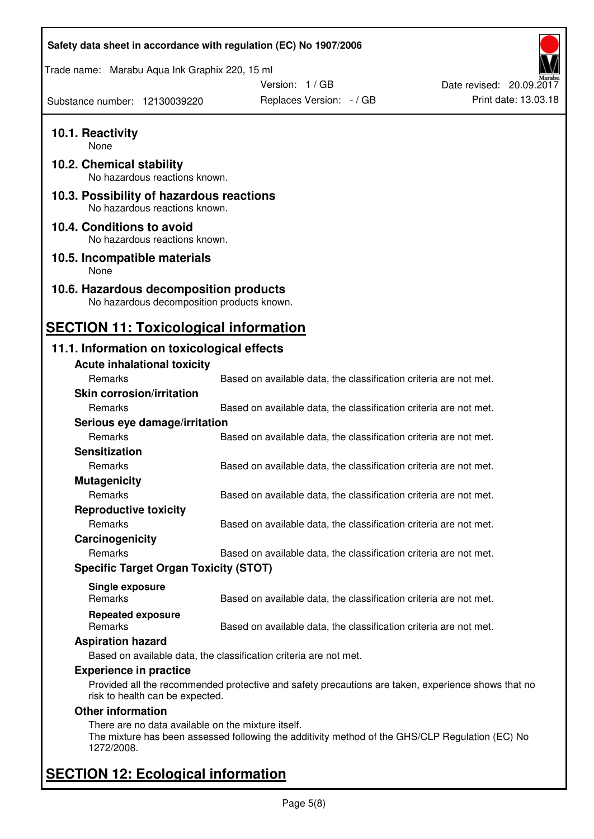| Safety data sheet in accordance with regulation (EC) No 1907/2006                    |                                                                                                    |                          |
|--------------------------------------------------------------------------------------|----------------------------------------------------------------------------------------------------|--------------------------|
| Trade name: Marabu Aqua Ink Graphix 220, 15 ml                                       |                                                                                                    |                          |
|                                                                                      | Version: 1/GB                                                                                      | Date revised: 20.09.2017 |
| Substance number: 12130039220                                                        | Replaces Version: - / GB                                                                           | Print date: 13.03.18     |
| 10.1. Reactivity<br>None                                                             |                                                                                                    |                          |
| 10.2. Chemical stability<br>No hazardous reactions known.                            |                                                                                                    |                          |
| 10.3. Possibility of hazardous reactions<br>No hazardous reactions known.            |                                                                                                    |                          |
| 10.4. Conditions to avoid<br>No hazardous reactions known.                           |                                                                                                    |                          |
| 10.5. Incompatible materials<br>None                                                 |                                                                                                    |                          |
| 10.6. Hazardous decomposition products<br>No hazardous decomposition products known. |                                                                                                    |                          |
| <b>SECTION 11: Toxicological information</b>                                         |                                                                                                    |                          |
| 11.1. Information on toxicological effects                                           |                                                                                                    |                          |
| <b>Acute inhalational toxicity</b>                                                   |                                                                                                    |                          |
| Remarks                                                                              | Based on available data, the classification criteria are not met.                                  |                          |
| <b>Skin corrosion/irritation</b>                                                     |                                                                                                    |                          |
| Remarks                                                                              | Based on available data, the classification criteria are not met.                                  |                          |
| Serious eye damage/irritation                                                        |                                                                                                    |                          |
| Remarks                                                                              | Based on available data, the classification criteria are not met.                                  |                          |
| <b>Sensitization</b>                                                                 |                                                                                                    |                          |
| Remarks                                                                              | Based on available data, the classification criteria are not met.                                  |                          |
| <b>Mutagenicity</b>                                                                  |                                                                                                    |                          |
| Remarks                                                                              | Based on available data, the classification criteria are not met.                                  |                          |
|                                                                                      |                                                                                                    |                          |
| <b>Reproductive toxicity</b><br>Remarks                                              | Based on available data, the classification criteria are not met.                                  |                          |
| Carcinogenicity                                                                      |                                                                                                    |                          |
| Remarks                                                                              | Based on available data, the classification criteria are not met.                                  |                          |
| <b>Specific Target Organ Toxicity (STOT)</b>                                         |                                                                                                    |                          |
|                                                                                      |                                                                                                    |                          |
| Single exposure<br><b>Remarks</b>                                                    | Based on available data, the classification criteria are not met.                                  |                          |
| <b>Repeated exposure</b><br>Remarks                                                  | Based on available data, the classification criteria are not met.                                  |                          |
| <b>Aspiration hazard</b>                                                             |                                                                                                    |                          |
|                                                                                      | Based on available data, the classification criteria are not met.                                  |                          |
| <b>Experience in practice</b><br>risk to health can be expected.                     | Provided all the recommended protective and safety precautions are taken, experience shows that no |                          |
| <b>Other information</b>                                                             |                                                                                                    |                          |
| There are no data available on the mixture itself.<br>1272/2008.                     | The mixture has been assessed following the additivity method of the GHS/CLP Regulation (EC) No    |                          |
| <b>SECTION 12: Ecological information</b>                                            |                                                                                                    |                          |

### Page 5(8)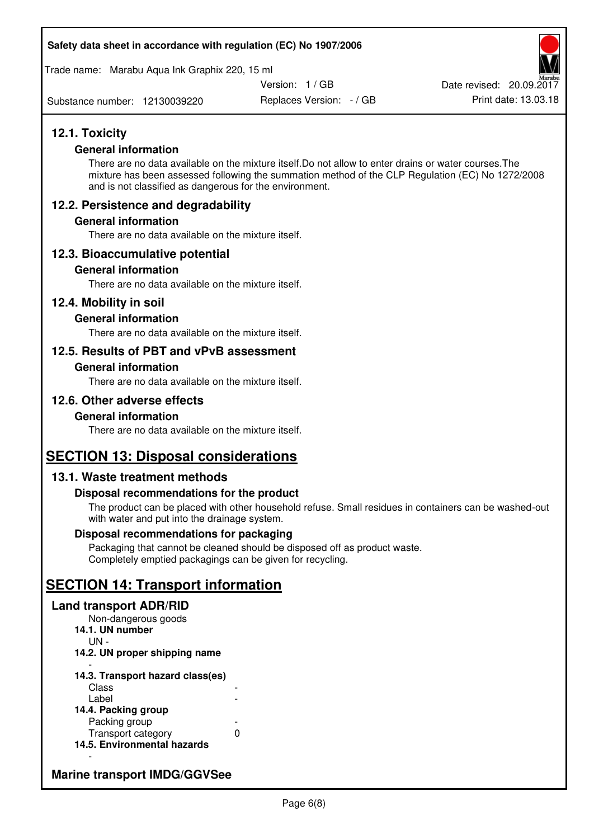#### **Safety data sheet in accordance with regulation (EC) No 1907/2006**

Trade name: Marabu Aqua Ink Graphix 220, 15 ml

Version: 1 / GB

Substance number: 12130039220

Replaces Version: - / GB Print date: 13.03.18 Date revised: 20.09.2017

### **12.1. Toxicity**

#### **General information**

There are no data available on the mixture itself.Do not allow to enter drains or water courses.The mixture has been assessed following the summation method of the CLP Regulation (EC) No 1272/2008 and is not classified as dangerous for the environment.

#### **12.2. Persistence and degradability**

#### **General information**

There are no data available on the mixture itself.

#### **12.3. Bioaccumulative potential**

#### **General information**

There are no data available on the mixture itself.

#### **12.4. Mobility in soil**

#### **General information**

There are no data available on the mixture itself.

#### **12.5. Results of PBT and vPvB assessment**

#### **General information**

There are no data available on the mixture itself.

#### **12.6. Other adverse effects**

#### **General information**

There are no data available on the mixture itself.

### **SECTION 13: Disposal considerations**

#### **13.1. Waste treatment methods**

#### **Disposal recommendations for the product**

The product can be placed with other household refuse. Small residues in containers can be washed-out with water and put into the drainage system.

#### **Disposal recommendations for packaging**

Packaging that cannot be cleaned should be disposed off as product waste. Completely emptied packagings can be given for recycling.

## **SECTION 14: Transport information**

#### **Land transport ADR/RID**

Non-dangerous goods **14.1. UN number**  UN - **14.2. UN proper shipping name**  -

#### **14.3. Transport hazard class(es) Class** Label

| 14.4. Packing group         |   |
|-----------------------------|---|
| Packing group               |   |
| Transport category          | O |
| 14.5. Environmental hazards |   |

### **Marine transport IMDG/GGVSee**

-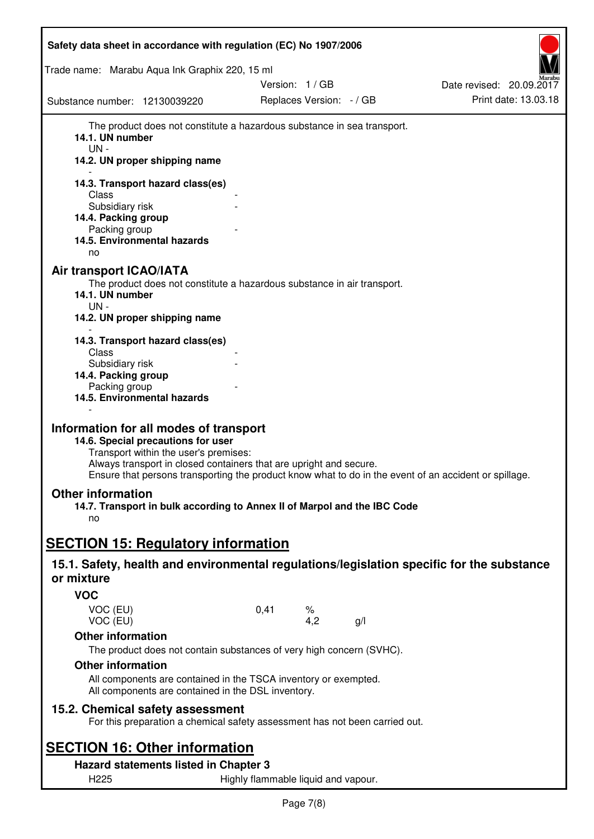| Safety data sheet in accordance with regulation (EC) No 1907/2006                                                                                                                           |                                                                                                       |                          |
|---------------------------------------------------------------------------------------------------------------------------------------------------------------------------------------------|-------------------------------------------------------------------------------------------------------|--------------------------|
| Trade name: Marabu Aqua Ink Graphix 220, 15 ml                                                                                                                                              |                                                                                                       |                          |
|                                                                                                                                                                                             | Version: 1 / GB                                                                                       | Date revised: 20.09.2017 |
| Substance number: 12130039220                                                                                                                                                               | Replaces Version: - / GB                                                                              | Print date: 13.03.18     |
| 14.1. UN number<br>$UN -$<br>14.2. UN proper shipping name                                                                                                                                  | The product does not constitute a hazardous substance in sea transport.                               |                          |
| 14.3. Transport hazard class(es)<br>Class                                                                                                                                                   |                                                                                                       |                          |
| Subsidiary risk                                                                                                                                                                             |                                                                                                       |                          |
| 14.4. Packing group<br>Packing group                                                                                                                                                        |                                                                                                       |                          |
| 14.5. Environmental hazards<br>no                                                                                                                                                           |                                                                                                       |                          |
| Air transport ICAO/IATA<br>14.1. UN number<br>UN -<br>14.2. UN proper shipping name                                                                                                         | The product does not constitute a hazardous substance in air transport.                               |                          |
| 14.3. Transport hazard class(es)                                                                                                                                                            |                                                                                                       |                          |
| Class<br>Subsidiary risk                                                                                                                                                                    |                                                                                                       |                          |
| 14.4. Packing group                                                                                                                                                                         |                                                                                                       |                          |
| Packing group<br>14.5. Environmental hazards                                                                                                                                                |                                                                                                       |                          |
| Information for all modes of transport<br>14.6. Special precautions for user<br>Transport within the user's premises:<br>Always transport in closed containers that are upright and secure. | Ensure that persons transporting the product know what to do in the event of an accident or spillage. |                          |
| <b>Other information</b><br>14.7. Transport in bulk according to Annex II of Marpol and the IBC Code                                                                                        |                                                                                                       |                          |
| no                                                                                                                                                                                          |                                                                                                       |                          |
| <b>SECTION 15: Regulatory information</b>                                                                                                                                                   |                                                                                                       |                          |
| 15.1. Safety, health and environmental regulations/legislation specific for the substance<br>or mixture                                                                                     |                                                                                                       |                          |
| <b>VOC</b>                                                                                                                                                                                  |                                                                                                       |                          |
| VOC (EU)<br>VOC (EU)                                                                                                                                                                        | 0,41<br>℅<br>4,2<br>g/l                                                                               |                          |
| <b>Other information</b>                                                                                                                                                                    | The product does not contain substances of very high concern (SVHC).                                  |                          |
| <b>Other information</b>                                                                                                                                                                    |                                                                                                       |                          |
| All components are contained in the TSCA inventory or exempted.<br>All components are contained in the DSL inventory.                                                                       |                                                                                                       |                          |
| 15.2. Chemical safety assessment                                                                                                                                                            | For this preparation a chemical safety assessment has not been carried out.                           |                          |
| <b>SECTION 16: Other information</b>                                                                                                                                                        |                                                                                                       |                          |
| Hazard statements listed in Chapter 3                                                                                                                                                       |                                                                                                       |                          |
| H225                                                                                                                                                                                        | Highly flammable liquid and vapour.                                                                   |                          |